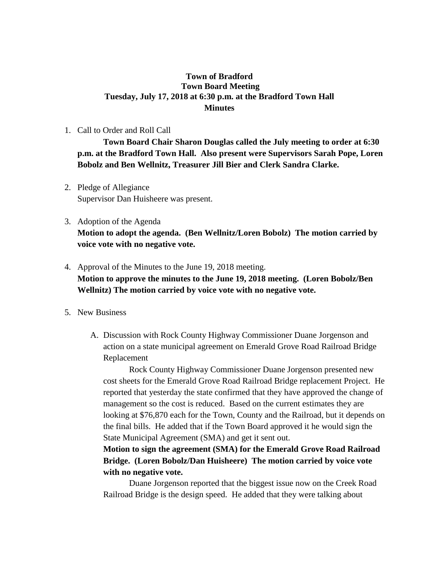## **Town of Bradford Town Board Meeting Tuesday, July 17, 2018 at 6:30 p.m. at the Bradford Town Hall Minutes**

1. Call to Order and Roll Call

**Town Board Chair Sharon Douglas called the July meeting to order at 6:30 p.m. at the Bradford Town Hall. Also present were Supervisors Sarah Pope, Loren Bobolz and Ben Wellnitz, Treasurer Jill Bier and Clerk Sandra Clarke.**

- 2. Pledge of Allegiance Supervisor Dan Huisheere was present.
- 3. Adoption of the Agenda **Motion to adopt the agenda. (Ben Wellnitz/Loren Bobolz) The motion carried by voice vote with no negative vote.**
- 4. Approval of the Minutes to the June 19, 2018 meeting. **Motion to approve the minutes to the June 19, 2018 meeting. (Loren Bobolz/Ben Wellnitz) The motion carried by voice vote with no negative vote.**
- 5. New Business
	- A. Discussion with Rock County Highway Commissioner Duane Jorgenson and action on a state municipal agreement on Emerald Grove Road Railroad Bridge Replacement

Rock County Highway Commissioner Duane Jorgenson presented new cost sheets for the Emerald Grove Road Railroad Bridge replacement Project. He reported that yesterday the state confirmed that they have approved the change of management so the cost is reduced. Based on the current estimates they are looking at \$76,870 each for the Town, County and the Railroad, but it depends on the final bills. He added that if the Town Board approved it he would sign the State Municipal Agreement (SMA) and get it sent out.

**Motion to sign the agreement (SMA) for the Emerald Grove Road Railroad Bridge. (Loren Bobolz/Dan Huisheere) The motion carried by voice vote with no negative vote.**

Duane Jorgenson reported that the biggest issue now on the Creek Road Railroad Bridge is the design speed. He added that they were talking about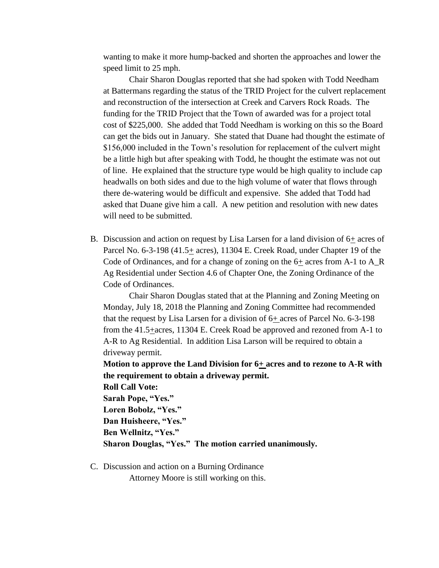wanting to make it more hump-backed and shorten the approaches and lower the speed limit to 25 mph.

Chair Sharon Douglas reported that she had spoken with Todd Needham at Battermans regarding the status of the TRID Project for the culvert replacement and reconstruction of the intersection at Creek and Carvers Rock Roads. The funding for the TRID Project that the Town of awarded was for a project total cost of \$225,000. She added that Todd Needham is working on this so the Board can get the bids out in January. She stated that Duane had thought the estimate of \$156,000 included in the Town's resolution for replacement of the culvert might be a little high but after speaking with Todd, he thought the estimate was not out of line. He explained that the structure type would be high quality to include cap headwalls on both sides and due to the high volume of water that flows through there de-watering would be difficult and expensive. She added that Todd had asked that Duane give him a call. A new petition and resolution with new dates will need to be submitted.

B. Discussion and action on request by Lisa Larsen for a land division of 6+ acres of Parcel No. 6-3-198 (41.5+ acres), 11304 E. Creek Road, under Chapter 19 of the Code of Ordinances, and for a change of zoning on the 6+ acres from A-1 to A\_R Ag Residential under Section 4.6 of Chapter One, the Zoning Ordinance of the Code of Ordinances.

Chair Sharon Douglas stated that at the Planning and Zoning Meeting on Monday, July 18, 2018 the Planning and Zoning Committee had recommended that the request by Lisa Larsen for a division of 6+ acres of Parcel No. 6-3-198 from the 41.5+acres, 11304 E. Creek Road be approved and rezoned from A-1 to A-R to Ag Residential. In addition Lisa Larson will be required to obtain a driveway permit.

**Motion to approve the Land Division for 6+ acres and to rezone to A-R with the requirement to obtain a driveway permit.** 

**Roll Call Vote: Sarah Pope, "Yes." Loren Bobolz, "Yes." Dan Huisheere, "Yes." Ben Wellnitz, "Yes." Sharon Douglas, "Yes." The motion carried unanimously.**

C. Discussion and action on a Burning Ordinance

Attorney Moore is still working on this.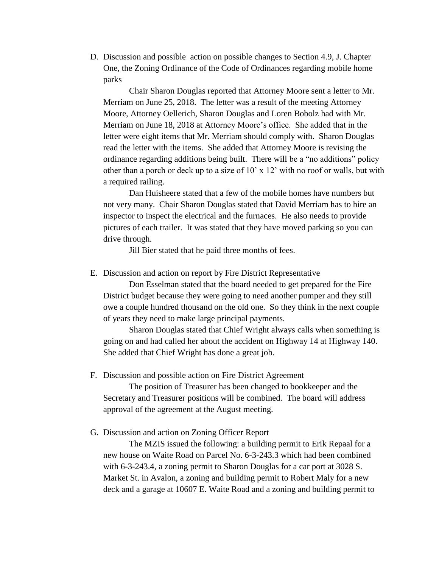D. Discussion and possible action on possible changes to Section 4.9, J. Chapter One, the Zoning Ordinance of the Code of Ordinances regarding mobile home parks

Chair Sharon Douglas reported that Attorney Moore sent a letter to Mr. Merriam on June 25, 2018. The letter was a result of the meeting Attorney Moore, Attorney Oellerich, Sharon Douglas and Loren Bobolz had with Mr. Merriam on June 18, 2018 at Attorney Moore's office. She added that in the letter were eight items that Mr. Merriam should comply with. Sharon Douglas read the letter with the items. She added that Attorney Moore is revising the ordinance regarding additions being built. There will be a "no additions" policy other than a porch or deck up to a size of 10' x 12' with no roof or walls, but with a required railing.

Dan Huisheere stated that a few of the mobile homes have numbers but not very many. Chair Sharon Douglas stated that David Merriam has to hire an inspector to inspect the electrical and the furnaces. He also needs to provide pictures of each trailer. It was stated that they have moved parking so you can drive through.

Jill Bier stated that he paid three months of fees.

E. Discussion and action on report by Fire District Representative

Don Esselman stated that the board needed to get prepared for the Fire District budget because they were going to need another pumper and they still owe a couple hundred thousand on the old one. So they think in the next couple of years they need to make large principal payments.

Sharon Douglas stated that Chief Wright always calls when something is going on and had called her about the accident on Highway 14 at Highway 140. She added that Chief Wright has done a great job.

F. Discussion and possible action on Fire District Agreement

The position of Treasurer has been changed to bookkeeper and the Secretary and Treasurer positions will be combined. The board will address approval of the agreement at the August meeting.

G. Discussion and action on Zoning Officer Report

The MZIS issued the following: a building permit to Erik Repaal for a new house on Waite Road on Parcel No. 6-3-243.3 which had been combined with 6-3-243.4, a zoning permit to Sharon Douglas for a car port at 3028 S. Market St. in Avalon, a zoning and building permit to Robert Maly for a new deck and a garage at 10607 E. Waite Road and a zoning and building permit to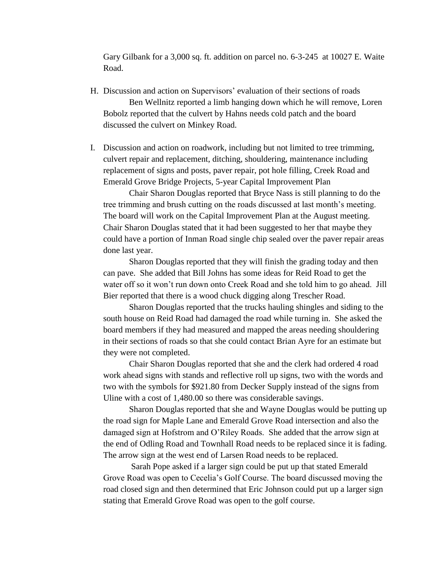Gary Gilbank for a 3,000 sq. ft. addition on parcel no. 6-3-245 at 10027 E. Waite Road.

- H. Discussion and action on Supervisors' evaluation of their sections of roads Ben Wellnitz reported a limb hanging down which he will remove, Loren Bobolz reported that the culvert by Hahns needs cold patch and the board discussed the culvert on Minkey Road.
- I. Discussion and action on roadwork, including but not limited to tree trimming, culvert repair and replacement, ditching, shouldering, maintenance including replacement of signs and posts, paver repair, pot hole filling, Creek Road and Emerald Grove Bridge Projects, 5-year Capital Improvement Plan

Chair Sharon Douglas reported that Bryce Nass is still planning to do the tree trimming and brush cutting on the roads discussed at last month's meeting. The board will work on the Capital Improvement Plan at the August meeting. Chair Sharon Douglas stated that it had been suggested to her that maybe they could have a portion of Inman Road single chip sealed over the paver repair areas done last year.

Sharon Douglas reported that they will finish the grading today and then can pave. She added that Bill Johns has some ideas for Reid Road to get the water off so it won't run down onto Creek Road and she told him to go ahead. Jill Bier reported that there is a wood chuck digging along Trescher Road.

Sharon Douglas reported that the trucks hauling shingles and siding to the south house on Reid Road had damaged the road while turning in. She asked the board members if they had measured and mapped the areas needing shouldering in their sections of roads so that she could contact Brian Ayre for an estimate but they were not completed.

Chair Sharon Douglas reported that she and the clerk had ordered 4 road work ahead signs with stands and reflective roll up signs, two with the words and two with the symbols for \$921.80 from Decker Supply instead of the signs from Uline with a cost of 1,480.00 so there was considerable savings.

Sharon Douglas reported that she and Wayne Douglas would be putting up the road sign for Maple Lane and Emerald Grove Road intersection and also the damaged sign at Hofstrom and O'Riley Roads. She added that the arrow sign at the end of Odling Road and Townhall Road needs to be replaced since it is fading. The arrow sign at the west end of Larsen Road needs to be replaced.

Sarah Pope asked if a larger sign could be put up that stated Emerald Grove Road was open to Cecelia's Golf Course. The board discussed moving the road closed sign and then determined that Eric Johnson could put up a larger sign stating that Emerald Grove Road was open to the golf course.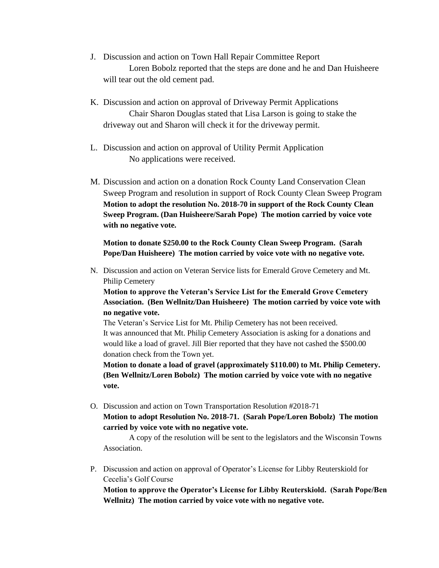- J. Discussion and action on Town Hall Repair Committee Report Loren Bobolz reported that the steps are done and he and Dan Huisheere will tear out the old cement pad.
- K. Discussion and action on approval of Driveway Permit Applications Chair Sharon Douglas stated that Lisa Larson is going to stake the driveway out and Sharon will check it for the driveway permit.
- L. Discussion and action on approval of Utility Permit Application No applications were received.
- M. Discussion and action on a donation Rock County Land Conservation Clean Sweep Program and resolution in support of Rock County Clean Sweep Program **Motion to adopt the resolution No. 2018-70 in support of the Rock County Clean Sweep Program. (Dan Huisheere/Sarah Pope) The motion carried by voice vote with no negative vote.**

**Motion to donate \$250.00 to the Rock County Clean Sweep Program. (Sarah Pope/Dan Huisheere) The motion carried by voice vote with no negative vote.** 

N. Discussion and action on Veteran Service lists for Emerald Grove Cemetery and Mt. Philip Cemetery

**Motion to approve the Veteran's Service List for the Emerald Grove Cemetery Association. (Ben Wellnitz/Dan Huisheere) The motion carried by voice vote with no negative vote.**

The Veteran's Service List for Mt. Philip Cemetery has not been received. It was announced that Mt. Philip Cemetery Association is asking for a donations and would like a load of gravel. Jill Bier reported that they have not cashed the \$500.00 donation check from the Town yet.

**Motion to donate a load of gravel (approximately \$110.00) to Mt. Philip Cemetery. (Ben Wellnitz/Loren Bobolz) The motion carried by voice vote with no negative vote.**

O. Discussion and action on Town Transportation Resolution #2018-71 **Motion to adopt Resolution No. 2018-71. (Sarah Pope/Loren Bobolz) The motion** 

**carried by voice vote with no negative vote.** 

A copy of the resolution will be sent to the legislators and the Wisconsin Towns Association.

P. Discussion and action on approval of Operator's License for Libby Reuterskiold for Cecelia's Golf Course

**Motion to approve the Operator's License for Libby Reuterskiold. (Sarah Pope/Ben Wellnitz) The motion carried by voice vote with no negative vote.**